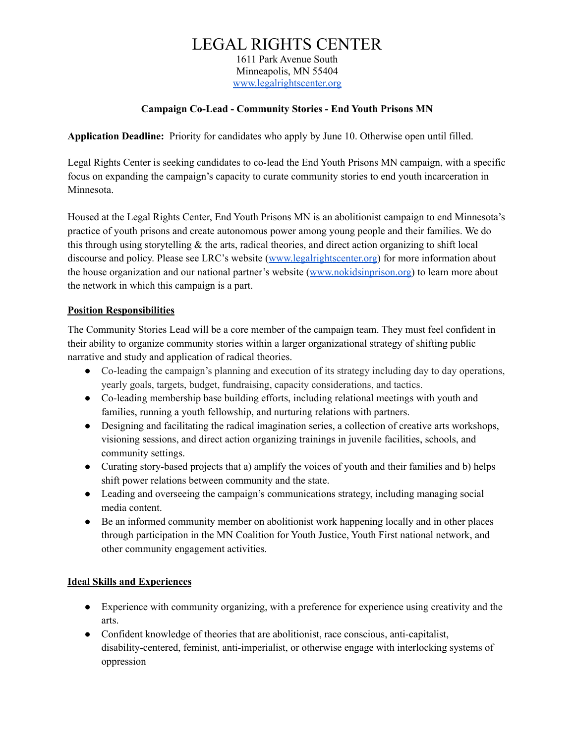# LEGAL RIGHTS CENTER

1611 Park Avenue South Minneapolis, MN 55404 [www.legalrightscenter.org](http://www.legalrightscenter.org/)

### **Campaign Co-Lead - Community Stories - End Youth Prisons MN**

**Application Deadline:** Priority for candidates who apply by June 10. Otherwise open until filled.

Legal Rights Center is seeking candidates to co-lead the End Youth Prisons MN campaign, with a specific focus on expanding the campaign's capacity to curate community stories to end youth incarceration in Minnesota.

Housed at the Legal Rights Center, End Youth Prisons MN is an abolitionist campaign to end Minnesota's practice of youth prisons and create autonomous power among young people and their families. We do this through using storytelling  $\&$  the arts, radical theories, and direct action organizing to shift local discourse and policy. Please see LRC's website [\(www.legalrightscenter.org\)](http://www.legalrightscenter.org/) for more information about the house organization and our national partner's website ([www.nokidsinprison.org](https://www.nokidsinprison.org)) to learn more about the network in which this campaign is a part.

### **Position Responsibilities**

The Community Stories Lead will be a core member of the campaign team. They must feel confident in their ability to organize community stories within a larger organizational strategy of shifting public narrative and study and application of radical theories.

- Co-leading the campaign's planning and execution of its strategy including day to day operations, yearly goals, targets, budget, fundraising, capacity considerations, and tactics.
- Co-leading membership base building efforts, including relational meetings with youth and families, running a youth fellowship, and nurturing relations with partners.
- Designing and facilitating the radical imagination series, a collection of creative arts workshops, visioning sessions, and direct action organizing trainings in juvenile facilities, schools, and community settings.
- Curating story-based projects that a) amplify the voices of youth and their families and b) helps shift power relations between community and the state.
- Leading and overseeing the campaign's communications strategy, including managing social media content.
- Be an informed community member on abolitionist work happening locally and in other places through participation in the MN Coalition for Youth Justice, Youth First national network, and other community engagement activities.

### **Ideal Skills and Experiences**

- Experience with community organizing, with a preference for experience using creativity and the arts.
- Confident knowledge of theories that are abolitionist, race conscious, anti-capitalist, disability-centered, feminist, anti-imperialist, or otherwise engage with interlocking systems of oppression